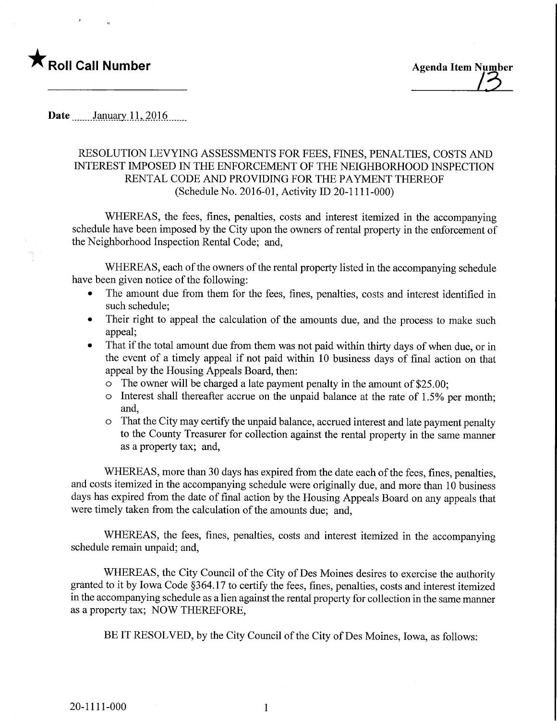

Date ........January 11, 2016.......

## RESOLUTION LEVYING ASSESSMENTS FOR FEES, FINES, PENALTIES, COSTS AND INTEREST IMPOSED IN THE ENFORCEMENT OF THE NEIGHBORHOOD INSPECTION RENTAL CODE AND PROVIDING FOR THE PAYMENT THEREOF (Schedule No. 2016-01, Activity ID 20-1111-000)

WHEREAS, the fees, fines, penalties, costs and interest itemized in the accompanying schedule have been imposed by the City upon the owners of rental property in the enforcement of the Neighborhood Inspection Rental Code; and,

WHEREAS, each of the owners of the rental property listed in the accompanying schedule have been given notice of the following:

- The amount due from them for the fees, fines, penalties, costs and interest identified in such schedule;
- Their right to appeal the calculation of the amounts due, and the process to make such appeal;
- That if the total amount due from them was not paid within thirty days of when due, or in the event of a timely appeal if not paid within 10 business days of final action on that appeal by the Housing Appeals Board, then:
	- o The owner will be charged a late payment penalty in the amount of \$25.00;
	- o Interest shall thereafter accrue on the unpaid balance at the rate of 1.5% per month; and,
	- o That the City may certify the unpaid balance, accrued interest and late payment penalty to the County Treasurer for collection against the rental property in the same manner as a property tax; and,

WHEREAS, more than 30 days has expired from the date each of the fees, fines, penalties, and costs itemized in the accompanying schedule were originally due, and more than 10 business days has expired from the date of final action by the Housing Appeals Board on any appeals that were timely taken from the calculation of the amounts due; and,

WHEREAS, the fees, fines, penalties, costs and interest itemized in the accompanying schedule remain unpaid; and,

WHEREAS, the City Council of the City of Des Moines desires to exercise the authority granted to it by Iowa Code §364.17 to certify the fees, fines, penalties, costs and interest itemized in the accompanying schedule as a lien against the rental property for collection in the same manner as a property tax; NOW THEREFORE,

BE IT RESOLVED, by the City Council of the City of Des Moines, Iowa, as follows:

 $\mathbf{1}$